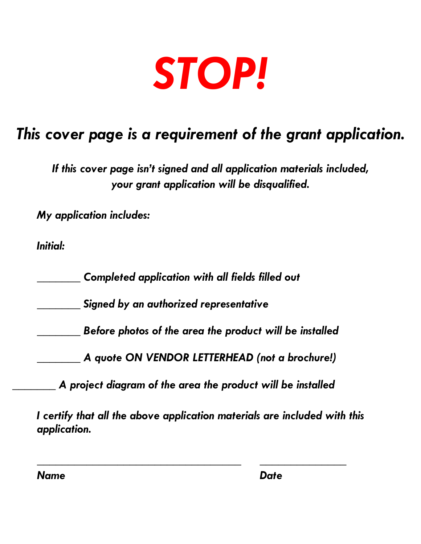

# *This cover page is a requirement of the grant application.*

*If this cover page isn't signed and all application materials included, your grant application will be disqualified.* 

*My application includes:*

*Initial:*

*\_\_\_\_\_\_\_ Completed application with all fields filled out*

*\_\_\_\_\_\_\_ Signed by an authorized representative*

*\_\_\_\_\_\_\_ Before photos of the area the product will be installed*

*\_\_\_\_\_\_\_ A quote ON VENDOR LETTERHEAD (not a brochure!)* 

*\_\_\_\_\_\_\_ A project diagram of the area the product will be installed*

*I certify that all the above application materials are included with this application.*

*\_\_\_\_\_\_\_\_\_\_\_\_\_\_\_\_\_\_\_\_\_\_\_\_\_\_\_\_\_\_\_\_\_ \_\_\_\_\_\_\_\_\_\_\_\_\_\_* 

*Name Date*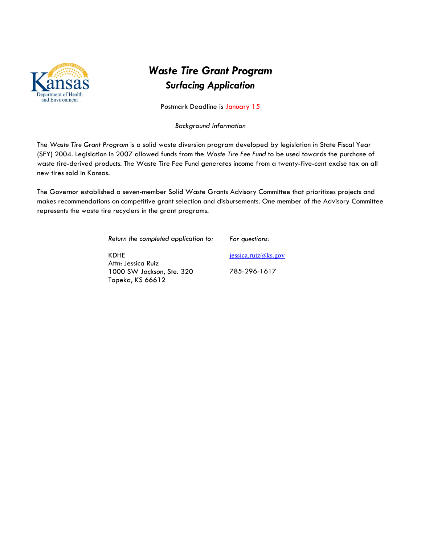

### *Waste Tire Grant Program Surfacing Application*

Postmark Deadline is January 15

*Background Information*

The *Waste Tire Grant Program* is a solid waste diversion program developed by legislation in State Fiscal Year (SFY) 2004. Legislation in 2007 allowed funds from the *Waste Tire Fee Fund* to be used towards the purchase of waste tire-derived products. The Waste Tire Fee Fund generates income from a twenty-five-cent excise tax on all new tires sold in Kansas.

The Governor established a seven-member Solid Waste Grants Advisory Committee that prioritizes projects and makes recommendations on competitive grant selection and disbursements. One member of the Advisory Committee represents the waste tire recyclers in the grant programs.

> *Return the completed application to: For questions:*

KDHE Attn: Jessica Ruiz 1000 SW Jackson, Ste. 320 Topeka, KS 66612

jessica.ruiz@ks.gov 785-296-1617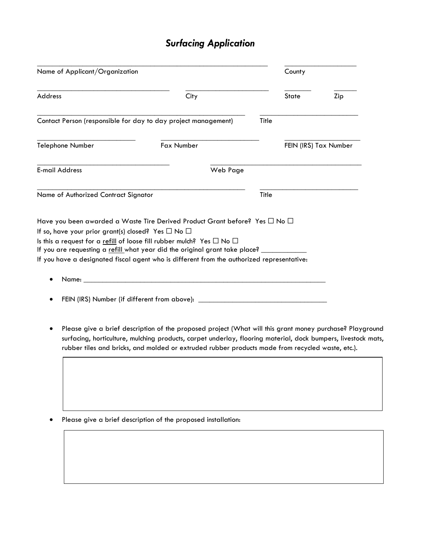## *Surfacing Application*

| Name of Applicant/Organization                                                                                                                                                                                                                 |                                                                                                                                                                                                                                                                                                                               |          | County |       |                       |
|------------------------------------------------------------------------------------------------------------------------------------------------------------------------------------------------------------------------------------------------|-------------------------------------------------------------------------------------------------------------------------------------------------------------------------------------------------------------------------------------------------------------------------------------------------------------------------------|----------|--------|-------|-----------------------|
| Address                                                                                                                                                                                                                                        | City                                                                                                                                                                                                                                                                                                                          |          |        | State | Zip                   |
| Contact Person (responsible for day to day project management)                                                                                                                                                                                 |                                                                                                                                                                                                                                                                                                                               |          | Title  |       |                       |
| Telephone Number                                                                                                                                                                                                                               | Fax Number                                                                                                                                                                                                                                                                                                                    |          |        |       | FEIN (IRS) Tax Number |
| <b>E-mail Address</b>                                                                                                                                                                                                                          |                                                                                                                                                                                                                                                                                                                               | Web Page |        |       |                       |
| Name of Authorized Contract Signator                                                                                                                                                                                                           |                                                                                                                                                                                                                                                                                                                               |          | Title  |       |                       |
| Have you been awarded a Waste Tire Derived Product Grant before? Yes $\square$ No $\square$<br>If so, have your prior grant(s) closed? Yes $\Box$ No $\Box$<br>Is this a request for a refill of loose fill rubber mulch? Yes $\Box$ No $\Box$ |                                                                                                                                                                                                                                                                                                                               |          |        |       |                       |
| If you are requesting a refill what year did the original grant take place?<br>If you have a designated fiscal agent who is different from the authorized representative:                                                                      |                                                                                                                                                                                                                                                                                                                               |          |        |       |                       |
|                                                                                                                                                                                                                                                | Name: Name and the state of the state of the state of the state of the state of the state of the state of the state of the state of the state of the state of the state of the state of the state of the state of the state of                                                                                                |          |        |       |                       |
|                                                                                                                                                                                                                                                | FEIN (IRS) Number (if different from above): ___________________________________                                                                                                                                                                                                                                              |          |        |       |                       |
|                                                                                                                                                                                                                                                | Please give a brief description of the proposed project (What will this grant money purchase? Playground<br>surfacing, horticulture, mulching products, carpet underlay, flooring material, dock bumpers, livestock mats,<br>rubber tiles and bricks, and molded or extruded rubber products made from recycled waste, etc.). |          |        |       |                       |

• Please give a brief description of the proposed installation: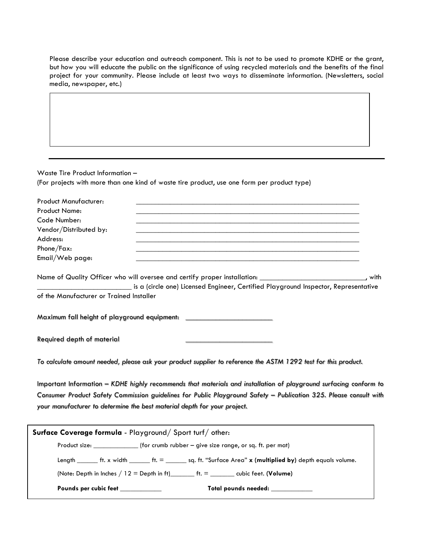Please describe your education and outreach component. This is not to be used to promote KDHE or the grant, but how you will educate the public on the significance of using recycled materials and the benefits of the final project for your community. Please include at least two ways to disseminate information. (Newsletters, social media, newspaper, etc.)

Waste Tire Product Information – (For projects with more than one kind of waste tire product, use one form per product type) Product Manufacturer: Product Name: \_\_\_\_\_\_\_\_\_\_\_\_\_\_\_\_\_\_\_\_\_\_\_\_\_\_\_\_\_\_\_\_\_\_\_\_\_\_\_\_\_\_\_\_\_\_\_\_\_\_\_\_\_\_\_\_\_\_\_ Code Number: Vendor/Distributed by: Address: \_\_\_\_\_\_\_\_\_\_\_\_\_\_\_\_\_\_\_\_\_\_\_\_\_\_\_\_\_\_\_\_\_\_\_\_\_\_\_\_\_\_\_\_\_\_\_\_\_\_\_\_\_\_\_\_\_\_\_ Phone/Fax: \_\_\_\_\_\_\_\_\_\_\_\_\_\_\_\_\_\_\_\_\_\_\_\_\_\_\_\_\_\_\_\_\_\_\_\_\_\_\_\_\_\_\_\_\_\_\_\_\_\_\_\_\_\_\_\_\_\_\_ Email/Web page: Name of Quality Officer who will oversee and certify proper installation: \_\_\_\_\_\_\_\_\_\_\_\_\_\_\_\_\_\_\_\_\_\_\_\_\_\_, with is a (circle one) Licensed Engineer, Certified Playground Inspector, Representative of the Manufacturer or Trained Installer Maximum fall height of playground equipment: \_ Required depth of material \_\_\_\_\_\_\_\_\_\_\_\_\_\_\_\_\_\_\_\_\_\_\_

*To calculate amount needed, please ask your product supplier to reference the ASTM 1292 test for this product.*

Important Information – *KDHE highly recommends that materials and installation of playground surfacing conform to Consumer Product Safety Commission guidelines for Public Playground Safety – Publication 325. Please consult with your manufacturer to determine the best material depth for your project.* 

| Surface Coverage formula - Playground/Sport turf/other:                |                                                                                                                                                                                                                                |  |  |  |
|------------------------------------------------------------------------|--------------------------------------------------------------------------------------------------------------------------------------------------------------------------------------------------------------------------------|--|--|--|
| Product size: (for crumb rubber – give size range, or sq. ft. per mat) |                                                                                                                                                                                                                                |  |  |  |
|                                                                        | Length $f(x)$ and the set of the set of the set of the set of the set of the set of the set of the set of the set of the set of the set of the set of the set of the set of the set of the set of the set of the set of the se |  |  |  |
|                                                                        |                                                                                                                                                                                                                                |  |  |  |
| Pounds per cubic feet <b>contains the container</b>                    | Total pounds needed:                                                                                                                                                                                                           |  |  |  |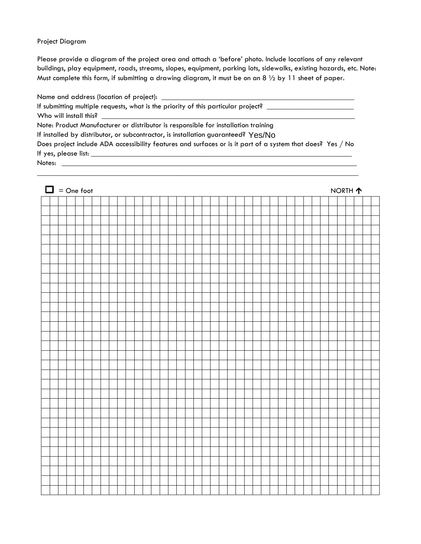#### Project Diagram

Please provide a diagram of the project area and attach a 'before' photo. Include locations of any relevant buildings, play equipment, roads, streams, slopes, equipment, parking lots, sidewalks, existing hazards, etc. Note: Must complete this form, if submitting a drawing diagram, it must be on an 8  $\frac{1}{2}$  by 11 sheet of paper.

Name and address (location of project): \_\_\_\_\_\_\_\_\_\_\_\_\_\_\_\_\_\_\_\_\_\_\_\_\_\_\_\_\_\_\_\_\_\_\_\_\_\_\_\_\_\_\_\_\_\_\_\_\_\_\_ If submitting multiple requests, what is the priority of this particular project? \_\_\_\_\_\_\_\_\_\_\_\_\_\_\_\_\_\_\_\_\_\_\_\_\_\_\_\_ Who will install this? Note: Product Manufacturer or distributor is responsible for installation training If installed by distributor, or subcontractor, is installation guaranteed? Yes/No Does project include ADA accessibility features and surfaces or is it part of a system that does? Yes / No If yes, please list: \_\_\_\_\_\_\_\_\_\_\_\_\_\_\_\_\_\_\_\_\_\_\_\_\_\_\_\_\_\_\_\_\_\_\_\_\_\_\_\_\_\_\_\_\_\_\_\_\_\_\_\_\_\_\_\_\_\_\_\_\_\_\_\_\_\_\_\_\_ Notes:

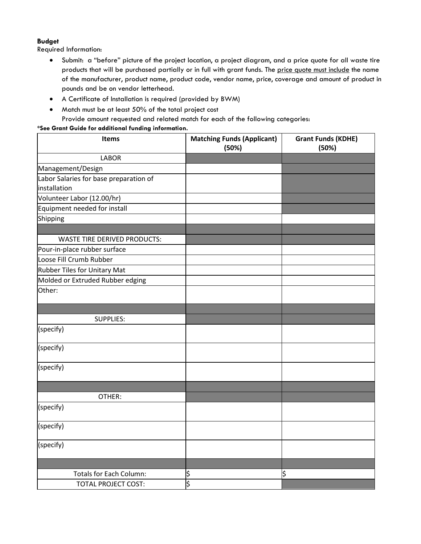#### **Budget**

Required Information:

- Submit: a "before" picture of the project location, a project diagram, and a price quote for all waste tire products that will be purchased partially or in full with grant funds. The price quote must include the name of the manufacturer, product name, product code, vendor name, price, coverage and amount of product in pounds and be on vendor letterhead.
- A Certificate of Installation is required (provided by BWM)
- Match must be at least 50% of the total project cost Provide amount requested and related match for each of the following categories:

#### **\*See Grant Guide for additional funding information.**

| Items                                  | <b>Matching Funds (Applicant)</b><br>(50%) | <b>Grant Funds (KDHE)</b><br>(50%) |
|----------------------------------------|--------------------------------------------|------------------------------------|
| <b>LABOR</b>                           |                                            |                                    |
| Management/Design                      |                                            |                                    |
| Labor Salaries for base preparation of |                                            |                                    |
| installation                           |                                            |                                    |
| Volunteer Labor (12.00/hr)             |                                            |                                    |
| Equipment needed for install           |                                            |                                    |
| Shipping                               |                                            |                                    |
|                                        |                                            |                                    |
| <b>WASTE TIRE DERIVED PRODUCTS:</b>    |                                            |                                    |
| Pour-in-place rubber surface           |                                            |                                    |
| Loose Fill Crumb Rubber                |                                            |                                    |
| Rubber Tiles for Unitary Mat           |                                            |                                    |
| Molded or Extruded Rubber edging       |                                            |                                    |
| Other:                                 |                                            |                                    |
|                                        |                                            |                                    |
| <b>SUPPLIES:</b>                       |                                            |                                    |
| (specify)                              |                                            |                                    |
| (specify)                              |                                            |                                    |
| (specify)                              |                                            |                                    |
|                                        |                                            |                                    |
| OTHER:                                 |                                            |                                    |
| (specify)                              |                                            |                                    |
| (specify)                              |                                            |                                    |
| (specify)                              |                                            |                                    |
|                                        |                                            |                                    |
| <b>Totals for Each Column:</b>         | \$                                         | \$                                 |
| <b>TOTAL PROJECT COST:</b>             | ۹Ó.                                        |                                    |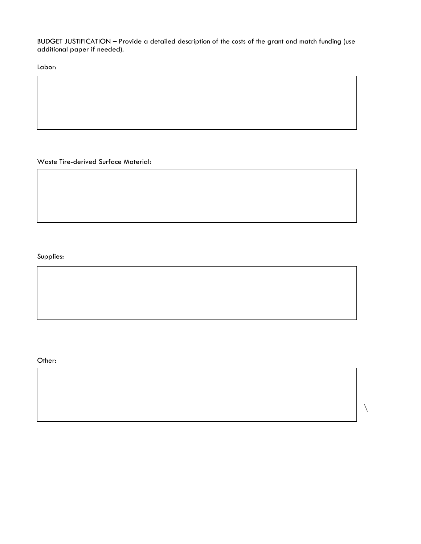BUDGET JUSTIFICATION – Provide a detailed description of the costs of the grant and match funding (use additional paper if needed).

Labor:

Waste Tire-derived Surface Material:

Supplies:

Other:

 $\setminus$